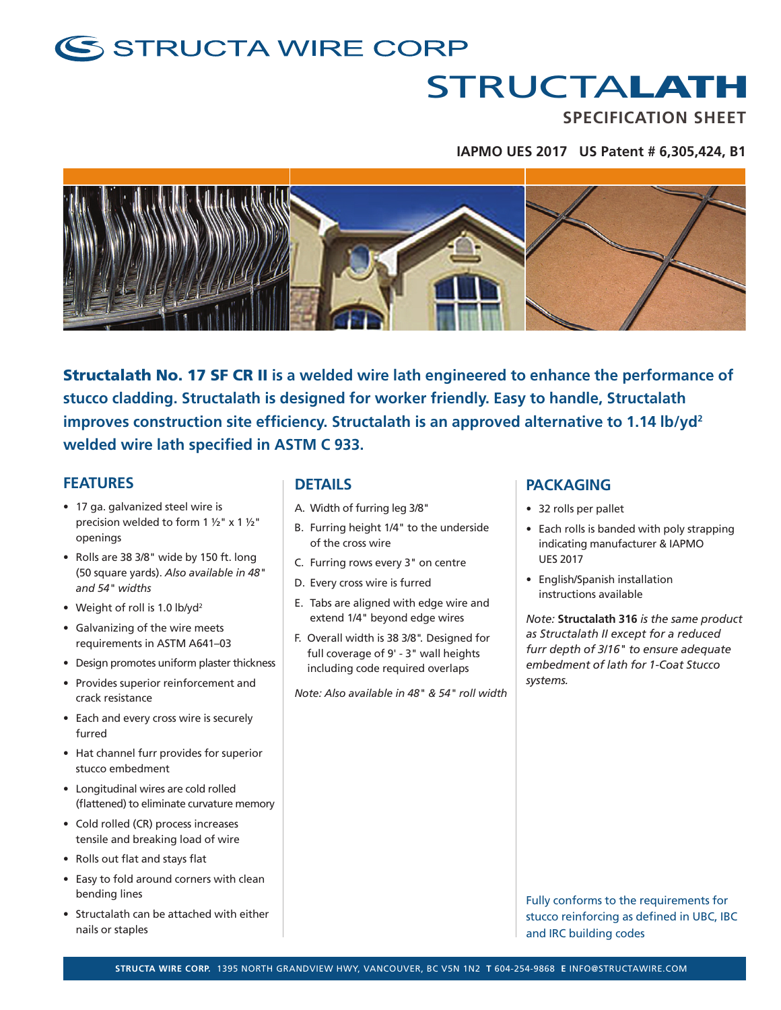### S STRUCTA WIRE CORP

## **STRUCTALATH**

**SPECIFICATION SHEET**

#### **IAPMO UES 2017 US Patent # 6,305,424, B1**



Structalath No. 17 SF CR II **is a welded wire lath engineered to enhance the performance of stucco cladding. Structalath is designed for worker friendly. Easy to handle, Structalath improves construction site efficiency. Structalath is an approved alternative to 1.14 lb/yd2 welded wire lath specified in ASTM C 933.**

#### **FEATURES**

- 17 ga. galvanized steel wire is precision welded to form 1 ½" x 1 ½" openings
- Rolls are 38 3/8" wide by 150 ft. long (50 square yards). *Also available in 48" and 54" widths*
- Weight of roll is 1.0 lb/yd<sup>2</sup>
- Galvanizing of the wire meets requirements in ASTM A641–03
- Design promotes uniform plaster thickness
- Provides superior reinforcement and crack resistance
- Each and every cross wire is securely furred
- Hat channel furr provides for superior stucco embedment
- Longitudinal wires are cold rolled (flattened) to eliminate curvature memory
- Cold rolled (CR) process increases tensile and breaking load of wire
- Rolls out flat and stays flat
- Easy to fold around corners with clean bending lines
- Structalath can be attached with either nails or staples

#### **DETAILS**

- A. Width of furring leg 3/8"
- B. Furring height 1/4" to the underside of the cross wire
- C. Furring rows every 3" on centre
- D. Every cross wire is furred
- E. Tabs are aligned with edge wire and extend 1/4" beyond edge wires
- F. Overall width is 38 3/8". Designed for full coverage of 9' - 3" wall heights including code required overlaps

*Note: Also available in 48" & 54" roll width*

#### **PACKAGING**

- 32 rolls per pallet
- Each rolls is banded with poly strapping indicating manufacturer & IAPMO UES 2017
- English/Spanish installation instructions available

*Note:* **Structalath 316** *is the same product as Structalath II except for a reduced furr depth of 3/16" to ensure adequate embedment of lath for 1-Coat Stucco systems.*

Fully conforms to the requirements for stucco reinforcing as defined in UBC, IBC and IRC building codes